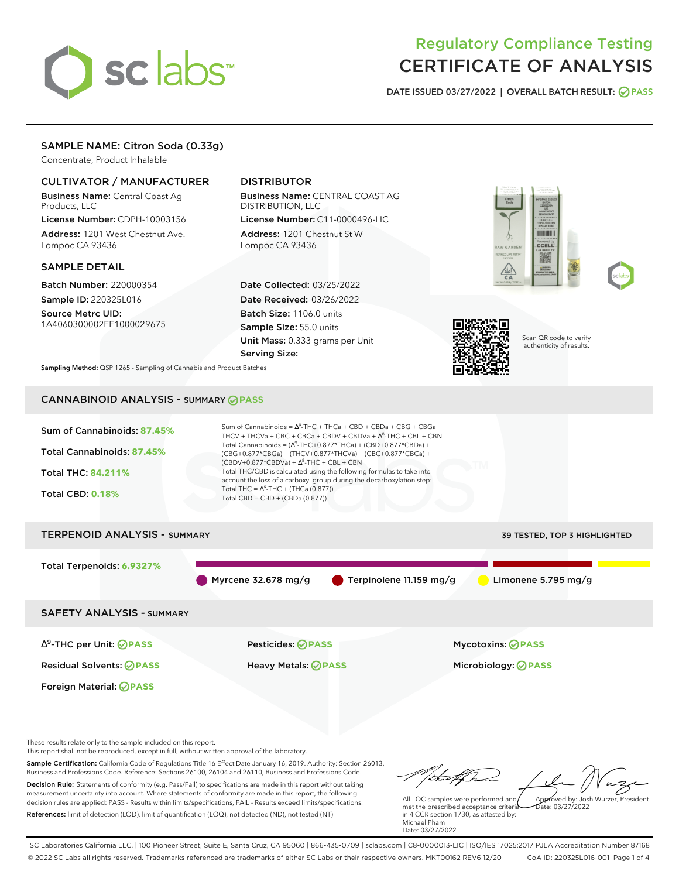# sclabs

# Regulatory Compliance Testing CERTIFICATE OF ANALYSIS

**DATE ISSUED 03/27/2022 | OVERALL BATCH RESULT: PASS**

# SAMPLE NAME: Citron Soda (0.33g)

Concentrate, Product Inhalable

## CULTIVATOR / MANUFACTURER

Business Name: Central Coast Ag Products, LLC License Number: CDPH-10003156

Address: 1201 West Chestnut Ave. Lompoc CA 93436

#### SAMPLE DETAIL

Batch Number: 220000354 Sample ID: 220325L016

Source Metrc UID: 1A4060300002EE1000029675

# DISTRIBUTOR

Business Name: CENTRAL COAST AG DISTRIBUTION, LLC License Number: C11-0000496-LIC

Address: 1201 Chestnut St W Lompoc CA 93436

Date Collected: 03/25/2022 Date Received: 03/26/2022 Batch Size: 1106.0 units Sample Size: 55.0 units Unit Mass: 0.333 grams per Unit Serving Size:







Scan QR code to verify authenticity of results.

**Sampling Method:** QSP 1265 - Sampling of Cannabis and Product Batches

# CANNABINOID ANALYSIS - SUMMARY **PASS**



These results relate only to the sample included on this report.

This report shall not be reproduced, except in full, without written approval of the laboratory.

Sample Certification: California Code of Regulations Title 16 Effect Date January 16, 2019. Authority: Section 26013, Business and Professions Code. Reference: Sections 26100, 26104 and 26110, Business and Professions Code. Decision Rule: Statements of conformity (e.g. Pass/Fail) to specifications are made in this report without taking measurement uncertainty into account. Where statements of conformity are made in this report, the following decision rules are applied: PASS - Results within limits/specifications, FAIL - Results exceed limits/specifications.

References: limit of detection (LOD), limit of quantification (LOQ), not detected (ND), not tested (NT)

tu#f h Approved by: Josh Wurzer, President

 $ate: 03/27/2022$ 

All LQC samples were performed and met the prescribed acceptance criteria in 4 CCR section 1730, as attested by: Michael Pham Date: 03/27/2022

SC Laboratories California LLC. | 100 Pioneer Street, Suite E, Santa Cruz, CA 95060 | 866-435-0709 | sclabs.com | C8-0000013-LIC | ISO/IES 17025:2017 PJLA Accreditation Number 87168 © 2022 SC Labs all rights reserved. Trademarks referenced are trademarks of either SC Labs or their respective owners. MKT00162 REV6 12/20 CoA ID: 220325L016-001 Page 1 of 4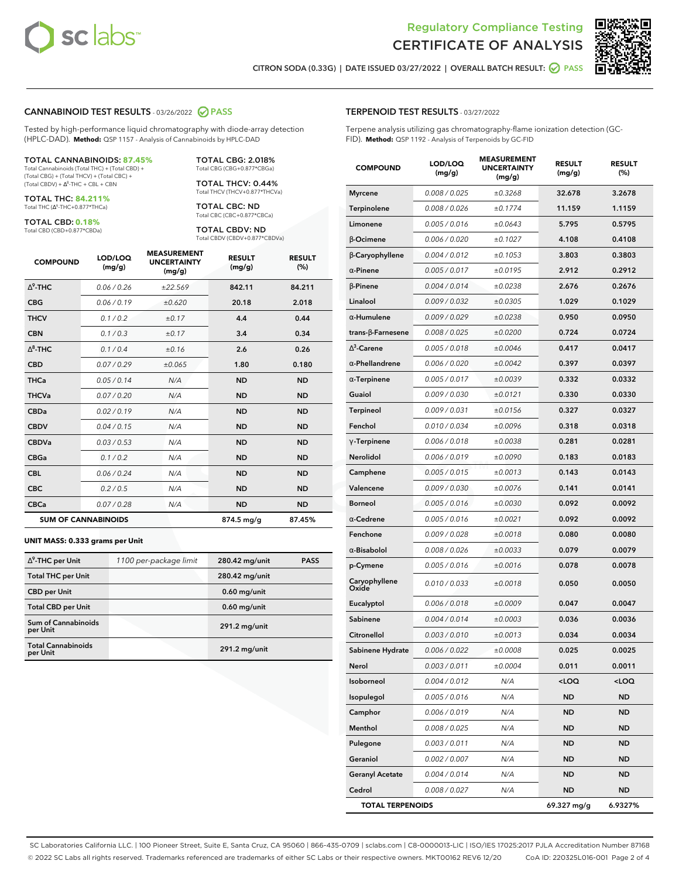



**CITRON SODA (0.33G) | DATE ISSUED 03/27/2022 | OVERALL BATCH RESULT: PASS**

#### **CANNABINOID TEST RESULTS** - 03/26/2022 **PASS**

Tested by high-performance liquid chromatography with diode-array detection (HPLC-DAD). **Method:** QSP 1157 - Analysis of Cannabinoids by HPLC-DAD

#### TOTAL CANNABINOIDS: **87.45%**

Total Cannabinoids (Total THC) + (Total CBD) + (Total CBG) + (Total THCV) + (Total CBC) +  $(Total CBDV) +  $\Delta^8$ -THC + CBL + CBN$ 

TOTAL THC: **84.211%** Total THC (Δ<sup>9</sup>-THC+0.877\*THCa)

TOTAL CBD: **0.18%**

Total CBD (CBD+0.877\*CBDa)

TOTAL CBG: 2.018% Total CBG (CBG+0.877\*CBGa)

TOTAL THCV: 0.44% Total THCV (THCV+0.877\*THCVa)

TOTAL CBC: ND Total CBC (CBC+0.877\*CBCa)

TOTAL CBDV: ND Total CBDV (CBDV+0.877\*CBDVa)

| <b>COMPOUND</b>  | LOD/LOQ<br>(mg/g)          | <b>MEASUREMENT</b><br><b>UNCERTAINTY</b><br>(mg/g) | <b>RESULT</b><br>(mg/g) | <b>RESULT</b><br>(%) |
|------------------|----------------------------|----------------------------------------------------|-------------------------|----------------------|
| $\Lambda^9$ -THC | 0.06 / 0.26                | ±22.569                                            | 842.11                  | 84.211               |
| <b>CBG</b>       | 0.06/0.19                  | ±0.620                                             | 20.18                   | 2.018                |
| <b>THCV</b>      | 0.1/0.2                    | ±0.17                                              | 4.4                     | 0.44                 |
| <b>CBN</b>       | 0.1/0.3                    | ±0.17                                              | 3.4                     | 0.34                 |
| $\Delta^8$ -THC  | 0.1 / 0.4                  | ±0.16                                              | 2.6                     | 0.26                 |
| <b>CBD</b>       | 0.07/0.29                  | ±0.065                                             | 1.80                    | 0.180                |
| <b>THCa</b>      | 0.05/0.14                  | N/A                                                | <b>ND</b>               | <b>ND</b>            |
| <b>THCVa</b>     | 0.07 / 0.20                | N/A                                                | <b>ND</b>               | <b>ND</b>            |
| <b>CBDa</b>      | 0.02/0.19                  | N/A                                                | <b>ND</b>               | <b>ND</b>            |
| <b>CBDV</b>      | 0.04 / 0.15                | N/A                                                | <b>ND</b>               | <b>ND</b>            |
| <b>CBDVa</b>     | 0.03/0.53                  | N/A                                                | <b>ND</b>               | <b>ND</b>            |
| <b>CBGa</b>      | 0.1 / 0.2                  | N/A                                                | <b>ND</b>               | <b>ND</b>            |
| <b>CBL</b>       | 0.06 / 0.24                | N/A                                                | <b>ND</b>               | <b>ND</b>            |
| <b>CBC</b>       | 0.2 / 0.5                  | N/A                                                | <b>ND</b>               | <b>ND</b>            |
| <b>CBCa</b>      | 0.07 / 0.28                | N/A                                                | <b>ND</b>               | <b>ND</b>            |
|                  | <b>SUM OF CANNABINOIDS</b> |                                                    | 874.5 mg/g              | 87.45%               |

#### **UNIT MASS: 0.333 grams per Unit**

| $\Delta^9$ -THC per Unit               | 1100 per-package limit | 280.42 mg/unit | <b>PASS</b> |
|----------------------------------------|------------------------|----------------|-------------|
| <b>Total THC per Unit</b>              |                        | 280.42 mg/unit |             |
| <b>CBD</b> per Unit                    |                        | $0.60$ mg/unit |             |
| <b>Total CBD per Unit</b>              |                        | $0.60$ mg/unit |             |
| <b>Sum of Cannabinoids</b><br>per Unit |                        | 291.2 mg/unit  |             |
| <b>Total Cannabinoids</b><br>per Unit  |                        | 291.2 mg/unit  |             |

| <b>COMPOUND</b>          | LOD/LOQ<br>(mg/g) | <b>MEASUREMENT</b><br><b>UNCERTAINTY</b><br>(mg/g) | <b>RESULT</b><br>(mg/g)                          | <b>RESULT</b><br>$(\%)$ |
|--------------------------|-------------------|----------------------------------------------------|--------------------------------------------------|-------------------------|
| <b>Myrcene</b>           | 0.008 / 0.025     | ±0.3268                                            | 32.678                                           | 3.2678                  |
| Terpinolene              | 0.008 / 0.026     | ±0.1774                                            | 11.159                                           | 1.1159                  |
| Limonene                 | 0.005 / 0.016     | ±0.0643                                            | 5.795                                            | 0.5795                  |
| $\beta$ -Ocimene         | 0.006 / 0.020     | ±0.1027                                            | 4.108                                            | 0.4108                  |
| β-Caryophyllene          | 0.004 / 0.012     | ±0.1053                                            | 3.803                                            | 0.3803                  |
| $\alpha$ -Pinene         | 0.005 / 0.017     | ±0.0195                                            | 2.912                                            | 0.2912                  |
| <b>B-Pinene</b>          | 0.004 / 0.014     | ±0.0238                                            | 2.676                                            | 0.2676                  |
| Linalool                 | 0.009 / 0.032     | ±0.0305                                            | 1.029                                            | 0.1029                  |
| α-Humulene               | 0.009 / 0.029     | ±0.0238                                            | 0.950                                            | 0.0950                  |
| $trans-\beta$ -Farnesene | 0.008 / 0.025     | ±0.0200                                            | 0.724                                            | 0.0724                  |
| $\Delta^3$ -Carene       | 0.005 / 0.018     | ±0.0046                                            | 0.417                                            | 0.0417                  |
| $\alpha$ -Phellandrene   | 0.006 / 0.020     | ±0.0042                                            | 0.397                                            | 0.0397                  |
| $\alpha$ -Terpinene      | 0.005 / 0.017     | ±0.0039                                            | 0.332                                            | 0.0332                  |
| Guaiol                   | 0.009 / 0.030     | ±0.0121                                            | 0.330                                            | 0.0330                  |
| <b>Terpineol</b>         | 0.009 / 0.031     | ±0.0156                                            | 0.327                                            | 0.0327                  |
| Fenchol                  | 0.010 / 0.034     | ±0.0096                                            | 0.318                                            | 0.0318                  |
| $\gamma$ -Terpinene      | 0.006 / 0.018     | ±0.0038                                            | 0.281                                            | 0.0281                  |
| Nerolidol                | 0.006 / 0.019     | ±0.0090                                            | 0.183                                            | 0.0183                  |
| Camphene                 | 0.005 / 0.015     | ±0.0013                                            | 0.143                                            | 0.0143                  |
| Valencene                | 0.009 / 0.030     | ±0.0076                                            | 0.141                                            | 0.0141                  |
| <b>Borneol</b>           | 0.005 / 0.016     | ±0.0030                                            | 0.092                                            | 0.0092                  |
| $\alpha$ -Cedrene        | 0.005 / 0.016     | ±0.0021                                            | 0.092                                            | 0.0092                  |
| Fenchone                 | 0.009 / 0.028     | ±0.0018                                            | 0.080                                            | 0.0080                  |
| $\alpha$ -Bisabolol      | 0.008 / 0.026     | ±0.0033                                            | 0.079                                            | 0.0079                  |
| p-Cymene                 | 0.005 / 0.016     | ±0.0016                                            | 0.078                                            | 0.0078                  |
| Caryophyllene<br>Oxide   | 0.010 / 0.033     | ±0.0018                                            | 0.050                                            | 0.0050                  |
| Eucalyptol               | 0.006 / 0.018     | ±0.0009                                            | 0.047                                            | 0.0047                  |
| Sabinene                 | 0.004 / 0.014     | ±0.0003                                            | 0.036                                            | 0.0036                  |
| Citronellol              | 0.003 / 0.010     | ±0.0013                                            | 0.034                                            | 0.0034                  |
| Sabinene Hydrate         | 0.006 / 0.022     | ±0.0008                                            | 0.025                                            | 0.0025                  |
| Nerol                    | 0.003 / 0.011     | ±0.0004                                            | 0.011                                            | 0.0011                  |
| Isoborneol               | 0.004 / 0.012     | N/A                                                | <loq< th=""><th><math>&lt;</math>LOQ</th></loq<> | $<$ LOQ                 |
| Isopulegol               | 0.005 / 0.016     | N/A                                                | ND                                               | ND                      |
| Camphor                  | 0.006 / 0.019     | N/A                                                | <b>ND</b>                                        | ND                      |
| Menthol                  | 0.008 / 0.025     | N/A                                                | <b>ND</b>                                        | ND                      |
| Pulegone                 | 0.003 / 0.011     | N/A                                                | ND                                               | ND                      |
| Geraniol                 | 0.002 / 0.007     | N/A                                                | <b>ND</b>                                        | ND                      |
| <b>Geranyl Acetate</b>   | 0.004 / 0.014     | N/A                                                | <b>ND</b>                                        | ND                      |
| Cedrol                   | 0.008 / 0.027     | N/A                                                | <b>ND</b>                                        | ND                      |

**TOTAL TERPENOIDS 69.327 mg/g 6.9327%**

SC Laboratories California LLC. | 100 Pioneer Street, Suite E, Santa Cruz, CA 95060 | 866-435-0709 | sclabs.com | C8-0000013-LIC | ISO/IES 17025:2017 PJLA Accreditation Number 87168 © 2022 SC Labs all rights reserved. Trademarks referenced are trademarks of either SC Labs or their respective owners. MKT00162 REV6 12/20 CoA ID: 220325L016-001 Page 2 of 4

# **TERPENOID TEST RESULTS** - 03/27/2022

Terpene analysis utilizing gas chromatography-flame ionization detection (GC-FID). **Method:** QSP 1192 - Analysis of Terpenoids by GC-FID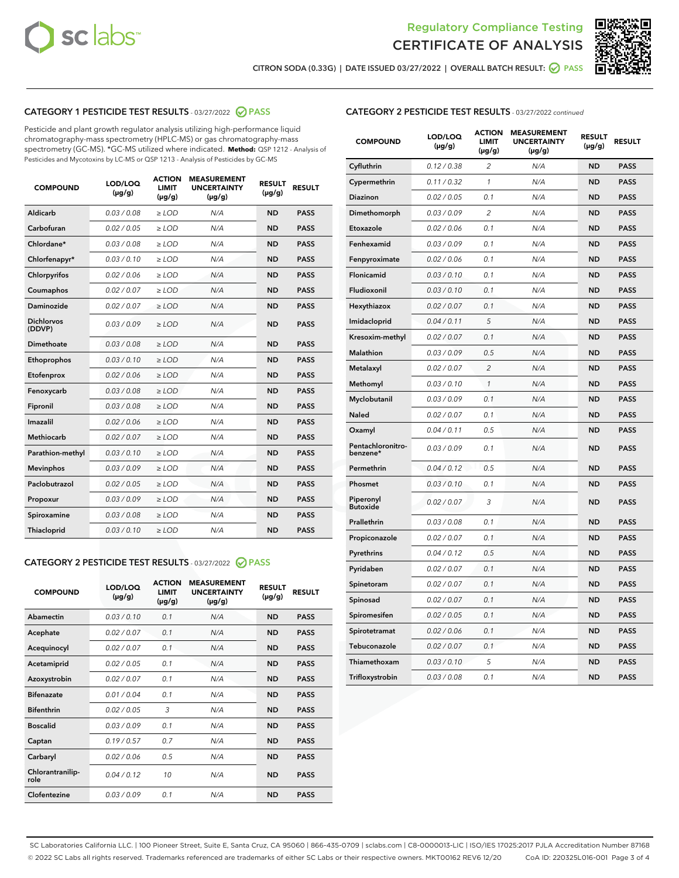



**CITRON SODA (0.33G) | DATE ISSUED 03/27/2022 | OVERALL BATCH RESULT: PASS**

## **CATEGORY 1 PESTICIDE TEST RESULTS** - 03/27/2022 **PASS**

Pesticide and plant growth regulator analysis utilizing high-performance liquid chromatography-mass spectrometry (HPLC-MS) or gas chromatography-mass spectrometry (GC-MS). \*GC-MS utilized where indicated. **Method:** QSP 1212 - Analysis of Pesticides and Mycotoxins by LC-MS or QSP 1213 - Analysis of Pesticides by GC-MS

| 0.03 / 0.08<br>Aldicarb<br>$\ge$ LOD<br><b>ND</b><br><b>PASS</b><br>N/A<br>Carbofuran<br>0.02 / 0.05<br>$\ge$ LOD<br>N/A<br><b>ND</b><br><b>PASS</b><br>Chlordane*<br>0.03 / 0.08<br>N/A<br><b>ND</b><br><b>PASS</b><br>$\ge$ LOD<br>Chlorfenapyr*<br>0.03/0.10<br>N/A<br><b>ND</b><br><b>PASS</b><br>$\ge$ LOD<br>0.02/0.06<br>$>$ LOD<br>N/A<br><b>ND</b><br><b>PASS</b><br>Chlorpyrifos<br>Coumaphos<br>0.02 / 0.07<br>$\ge$ LOD<br>N/A<br><b>ND</b><br><b>PASS</b><br>Daminozide<br>0.02 / 0.07<br>$\ge$ LOD<br>N/A<br><b>ND</b><br><b>PASS</b><br><b>Dichlorvos</b><br>0.03/0.09<br>N/A<br><b>ND</b><br><b>PASS</b><br>$\ge$ LOD<br>(DDVP)<br><b>Dimethoate</b><br>0.03 / 0.08<br>N/A<br><b>ND</b><br><b>PASS</b><br>$\ge$ LOD<br>0.03/0.10<br><b>ND</b><br><b>PASS</b><br>Ethoprophos<br>$\ge$ LOD<br>N/A<br>0.02 / 0.06<br><b>PASS</b><br>Etofenprox<br>$\ge$ LOD<br>N/A<br><b>ND</b><br>0.03/0.08<br>N/A<br><b>ND</b><br><b>PASS</b><br>Fenoxycarb<br>$>$ LOD<br>0.03 / 0.08<br><b>ND</b><br>Fipronil<br>$\ge$ LOD<br>N/A<br><b>PASS</b><br>Imazalil<br>0.02 / 0.06<br>N/A<br><b>ND</b><br>$\ge$ LOD<br><b>PASS</b><br><b>Methiocarb</b><br>0.02 / 0.07<br>$\ge$ LOD<br>N/A<br><b>ND</b><br><b>PASS</b><br>N/A<br><b>ND</b><br><b>PASS</b><br>Parathion-methyl<br>0.03/0.10<br>$\ge$ LOD<br>0.03/0.09<br>N/A<br>$\ge$ LOD<br><b>ND</b><br><b>PASS</b><br><b>Mevinphos</b><br>Paclobutrazol<br>0.02 / 0.05<br>N/A<br><b>ND</b><br><b>PASS</b><br>$\ge$ LOD<br>0.03/0.09<br>N/A<br><b>ND</b><br>$\ge$ LOD<br><b>PASS</b><br>Propoxur<br>0.03 / 0.08<br>N/A<br><b>ND</b><br><b>PASS</b><br>Spiroxamine<br>$>$ LOD<br>0.03/0.10<br><b>ND</b><br><b>PASS</b><br>Thiacloprid<br>$\ge$ LOD<br>N/A | <b>COMPOUND</b> | LOD/LOQ<br>$(\mu g/g)$ | <b>ACTION</b><br><b>LIMIT</b><br>$(\mu g/g)$ | <b>MEASUREMENT</b><br><b>UNCERTAINTY</b><br>$(\mu g/g)$ | <b>RESULT</b><br>$(\mu g/g)$ | <b>RESULT</b> |
|----------------------------------------------------------------------------------------------------------------------------------------------------------------------------------------------------------------------------------------------------------------------------------------------------------------------------------------------------------------------------------------------------------------------------------------------------------------------------------------------------------------------------------------------------------------------------------------------------------------------------------------------------------------------------------------------------------------------------------------------------------------------------------------------------------------------------------------------------------------------------------------------------------------------------------------------------------------------------------------------------------------------------------------------------------------------------------------------------------------------------------------------------------------------------------------------------------------------------------------------------------------------------------------------------------------------------------------------------------------------------------------------------------------------------------------------------------------------------------------------------------------------------------------------------------------------------------------------------------------------------------------------------------------------------------------------------|-----------------|------------------------|----------------------------------------------|---------------------------------------------------------|------------------------------|---------------|
|                                                                                                                                                                                                                                                                                                                                                                                                                                                                                                                                                                                                                                                                                                                                                                                                                                                                                                                                                                                                                                                                                                                                                                                                                                                                                                                                                                                                                                                                                                                                                                                                                                                                                                    |                 |                        |                                              |                                                         |                              |               |
|                                                                                                                                                                                                                                                                                                                                                                                                                                                                                                                                                                                                                                                                                                                                                                                                                                                                                                                                                                                                                                                                                                                                                                                                                                                                                                                                                                                                                                                                                                                                                                                                                                                                                                    |                 |                        |                                              |                                                         |                              |               |
|                                                                                                                                                                                                                                                                                                                                                                                                                                                                                                                                                                                                                                                                                                                                                                                                                                                                                                                                                                                                                                                                                                                                                                                                                                                                                                                                                                                                                                                                                                                                                                                                                                                                                                    |                 |                        |                                              |                                                         |                              |               |
|                                                                                                                                                                                                                                                                                                                                                                                                                                                                                                                                                                                                                                                                                                                                                                                                                                                                                                                                                                                                                                                                                                                                                                                                                                                                                                                                                                                                                                                                                                                                                                                                                                                                                                    |                 |                        |                                              |                                                         |                              |               |
|                                                                                                                                                                                                                                                                                                                                                                                                                                                                                                                                                                                                                                                                                                                                                                                                                                                                                                                                                                                                                                                                                                                                                                                                                                                                                                                                                                                                                                                                                                                                                                                                                                                                                                    |                 |                        |                                              |                                                         |                              |               |
|                                                                                                                                                                                                                                                                                                                                                                                                                                                                                                                                                                                                                                                                                                                                                                                                                                                                                                                                                                                                                                                                                                                                                                                                                                                                                                                                                                                                                                                                                                                                                                                                                                                                                                    |                 |                        |                                              |                                                         |                              |               |
|                                                                                                                                                                                                                                                                                                                                                                                                                                                                                                                                                                                                                                                                                                                                                                                                                                                                                                                                                                                                                                                                                                                                                                                                                                                                                                                                                                                                                                                                                                                                                                                                                                                                                                    |                 |                        |                                              |                                                         |                              |               |
|                                                                                                                                                                                                                                                                                                                                                                                                                                                                                                                                                                                                                                                                                                                                                                                                                                                                                                                                                                                                                                                                                                                                                                                                                                                                                                                                                                                                                                                                                                                                                                                                                                                                                                    |                 |                        |                                              |                                                         |                              |               |
|                                                                                                                                                                                                                                                                                                                                                                                                                                                                                                                                                                                                                                                                                                                                                                                                                                                                                                                                                                                                                                                                                                                                                                                                                                                                                                                                                                                                                                                                                                                                                                                                                                                                                                    |                 |                        |                                              |                                                         |                              |               |
|                                                                                                                                                                                                                                                                                                                                                                                                                                                                                                                                                                                                                                                                                                                                                                                                                                                                                                                                                                                                                                                                                                                                                                                                                                                                                                                                                                                                                                                                                                                                                                                                                                                                                                    |                 |                        |                                              |                                                         |                              |               |
|                                                                                                                                                                                                                                                                                                                                                                                                                                                                                                                                                                                                                                                                                                                                                                                                                                                                                                                                                                                                                                                                                                                                                                                                                                                                                                                                                                                                                                                                                                                                                                                                                                                                                                    |                 |                        |                                              |                                                         |                              |               |
|                                                                                                                                                                                                                                                                                                                                                                                                                                                                                                                                                                                                                                                                                                                                                                                                                                                                                                                                                                                                                                                                                                                                                                                                                                                                                                                                                                                                                                                                                                                                                                                                                                                                                                    |                 |                        |                                              |                                                         |                              |               |
|                                                                                                                                                                                                                                                                                                                                                                                                                                                                                                                                                                                                                                                                                                                                                                                                                                                                                                                                                                                                                                                                                                                                                                                                                                                                                                                                                                                                                                                                                                                                                                                                                                                                                                    |                 |                        |                                              |                                                         |                              |               |
|                                                                                                                                                                                                                                                                                                                                                                                                                                                                                                                                                                                                                                                                                                                                                                                                                                                                                                                                                                                                                                                                                                                                                                                                                                                                                                                                                                                                                                                                                                                                                                                                                                                                                                    |                 |                        |                                              |                                                         |                              |               |
|                                                                                                                                                                                                                                                                                                                                                                                                                                                                                                                                                                                                                                                                                                                                                                                                                                                                                                                                                                                                                                                                                                                                                                                                                                                                                                                                                                                                                                                                                                                                                                                                                                                                                                    |                 |                        |                                              |                                                         |                              |               |
|                                                                                                                                                                                                                                                                                                                                                                                                                                                                                                                                                                                                                                                                                                                                                                                                                                                                                                                                                                                                                                                                                                                                                                                                                                                                                                                                                                                                                                                                                                                                                                                                                                                                                                    |                 |                        |                                              |                                                         |                              |               |
|                                                                                                                                                                                                                                                                                                                                                                                                                                                                                                                                                                                                                                                                                                                                                                                                                                                                                                                                                                                                                                                                                                                                                                                                                                                                                                                                                                                                                                                                                                                                                                                                                                                                                                    |                 |                        |                                              |                                                         |                              |               |
|                                                                                                                                                                                                                                                                                                                                                                                                                                                                                                                                                                                                                                                                                                                                                                                                                                                                                                                                                                                                                                                                                                                                                                                                                                                                                                                                                                                                                                                                                                                                                                                                                                                                                                    |                 |                        |                                              |                                                         |                              |               |
|                                                                                                                                                                                                                                                                                                                                                                                                                                                                                                                                                                                                                                                                                                                                                                                                                                                                                                                                                                                                                                                                                                                                                                                                                                                                                                                                                                                                                                                                                                                                                                                                                                                                                                    |                 |                        |                                              |                                                         |                              |               |
|                                                                                                                                                                                                                                                                                                                                                                                                                                                                                                                                                                                                                                                                                                                                                                                                                                                                                                                                                                                                                                                                                                                                                                                                                                                                                                                                                                                                                                                                                                                                                                                                                                                                                                    |                 |                        |                                              |                                                         |                              |               |
|                                                                                                                                                                                                                                                                                                                                                                                                                                                                                                                                                                                                                                                                                                                                                                                                                                                                                                                                                                                                                                                                                                                                                                                                                                                                                                                                                                                                                                                                                                                                                                                                                                                                                                    |                 |                        |                                              |                                                         |                              |               |

# **CATEGORY 2 PESTICIDE TEST RESULTS** - 03/27/2022 **PASS**

| <b>COMPOUND</b>          | LOD/LOO<br>$(\mu g/g)$ | <b>ACTION</b><br>LIMIT<br>(µg/g) | <b>MEASUREMENT</b><br><b>UNCERTAINTY</b><br>$(\mu g/g)$ | <b>RESULT</b><br>$(\mu g/g)$ | <b>RESULT</b> |  |
|--------------------------|------------------------|----------------------------------|---------------------------------------------------------|------------------------------|---------------|--|
| Abamectin                | 0.03/0.10              | 0.1                              | N/A                                                     | <b>ND</b>                    | <b>PASS</b>   |  |
| Acephate                 | 0.02/0.07              | 0.1                              | N/A                                                     | <b>ND</b>                    | <b>PASS</b>   |  |
| Acequinocyl              | 0.02 / 0.07            | 0.1                              | N/A                                                     | <b>ND</b>                    | <b>PASS</b>   |  |
| Acetamiprid              | 0.02/0.05              | 0.1                              | N/A                                                     | <b>ND</b>                    | <b>PASS</b>   |  |
| Azoxystrobin             | 0.02/0.07              | 0.1                              | N/A                                                     | <b>ND</b>                    | <b>PASS</b>   |  |
| <b>Bifenazate</b>        | 0.01/0.04              | 0.1                              | N/A                                                     | <b>ND</b>                    | <b>PASS</b>   |  |
| <b>Bifenthrin</b>        | 0.02/0.05              | 3                                | N/A                                                     | <b>ND</b>                    | <b>PASS</b>   |  |
| <b>Boscalid</b>          | 0.03/0.09              | 0.1                              | N/A                                                     | <b>ND</b>                    | <b>PASS</b>   |  |
| Captan                   | 0.19/0.57              | 0.7                              | N/A                                                     | <b>ND</b>                    | <b>PASS</b>   |  |
| Carbaryl                 | 0.02/0.06              | 0.5                              | N/A                                                     | <b>ND</b>                    | <b>PASS</b>   |  |
| Chlorantranilip-<br>role | 0.04/0.12              | 10                               | N/A                                                     | <b>ND</b>                    | <b>PASS</b>   |  |
| Clofentezine             | 0.03/0.09              | 0.1                              | N/A                                                     | <b>ND</b>                    | <b>PASS</b>   |  |

#### **CATEGORY 2 PESTICIDE TEST RESULTS** - 03/27/2022 continued

| <b>COMPOUND</b>               | LOD/LOQ<br>(µg/g) | <b>ACTION</b><br><b>LIMIT</b><br>$(\mu g/g)$ | <b>MEASUREMENT</b><br><b>UNCERTAINTY</b><br>$(\mu g/g)$ | <b>RESULT</b><br>(µg/g) | <b>RESULT</b> |
|-------------------------------|-------------------|----------------------------------------------|---------------------------------------------------------|-------------------------|---------------|
| Cyfluthrin                    | 0.12 / 0.38       | $\overline{c}$                               | N/A                                                     | <b>ND</b>               | <b>PASS</b>   |
| Cypermethrin                  | 0.11/0.32         | 1                                            | N/A                                                     | ND                      | <b>PASS</b>   |
| <b>Diazinon</b>               | 0.02 / 0.05       | 0.1                                          | N/A                                                     | ND                      | <b>PASS</b>   |
| Dimethomorph                  | 0.03 / 0.09       | 2                                            | N/A                                                     | ND                      | <b>PASS</b>   |
| Etoxazole                     | 0.02 / 0.06       | 0.1                                          | N/A                                                     | <b>ND</b>               | <b>PASS</b>   |
| Fenhexamid                    | 0.03 / 0.09       | 0.1                                          | N/A                                                     | <b>ND</b>               | <b>PASS</b>   |
| Fenpyroximate                 | 0.02 / 0.06       | 0.1                                          | N/A                                                     | ND                      | <b>PASS</b>   |
| Flonicamid                    | 0.03 / 0.10       | 0.1                                          | N/A                                                     | ND                      | <b>PASS</b>   |
| Fludioxonil                   | 0.03 / 0.10       | 0.1                                          | N/A                                                     | <b>ND</b>               | <b>PASS</b>   |
| Hexythiazox                   | 0.02 / 0.07       | 0.1                                          | N/A                                                     | ND                      | <b>PASS</b>   |
| Imidacloprid                  | 0.04 / 0.11       | 5                                            | N/A                                                     | ND                      | <b>PASS</b>   |
| Kresoxim-methyl               | 0.02 / 0.07       | 0.1                                          | N/A                                                     | <b>ND</b>               | <b>PASS</b>   |
| <b>Malathion</b>              | 0.03 / 0.09       | 0.5                                          | N/A                                                     | ND                      | <b>PASS</b>   |
| Metalaxyl                     | 0.02 / 0.07       | $\overline{c}$                               | N/A                                                     | ND                      | <b>PASS</b>   |
| Methomyl                      | 0.03 / 0.10       | 1                                            | N/A                                                     | <b>ND</b>               | <b>PASS</b>   |
| Myclobutanil                  | 0.03 / 0.09       | 0.1                                          | N/A                                                     | ND                      | <b>PASS</b>   |
| Naled                         | 0.02 / 0.07       | 0.1                                          | N/A                                                     | ND                      | <b>PASS</b>   |
| Oxamyl                        | 0.04 / 0.11       | 0.5                                          | N/A                                                     | ND                      | <b>PASS</b>   |
| Pentachloronitro-<br>benzene* | 0.03/0.09         | 0.1                                          | N/A                                                     | ND                      | <b>PASS</b>   |
| Permethrin                    | 0.04 / 0.12       | 0.5                                          | N/A                                                     | <b>ND</b>               | <b>PASS</b>   |
| Phosmet                       | 0.03 / 0.10       | 0.1                                          | N/A                                                     | <b>ND</b>               | <b>PASS</b>   |
| Piperonyl<br><b>Butoxide</b>  | 0.02 / 0.07       | 3                                            | N/A                                                     | ND                      | <b>PASS</b>   |
| Prallethrin                   | 0.03 / 0.08       | 0.1                                          | N/A                                                     | <b>ND</b>               | <b>PASS</b>   |
| Propiconazole                 | 0.02 / 0.07       | 0.1                                          | N/A                                                     | ND                      | <b>PASS</b>   |
| Pyrethrins                    | 0.04 / 0.12       | 0.5                                          | N/A                                                     | ND                      | <b>PASS</b>   |
| Pyridaben                     | 0.02 / 0.07       | 0.1                                          | N/A                                                     | ND                      | <b>PASS</b>   |
| Spinetoram                    | 0.02 / 0.07       | 0.1                                          | N/A                                                     | ND                      | <b>PASS</b>   |
| Spinosad                      | 0.02 / 0.07       | 0.1                                          | N/A                                                     | ND                      | <b>PASS</b>   |
| Spiromesifen                  | 0.02 / 0.05       | 0.1                                          | N/A                                                     | <b>ND</b>               | <b>PASS</b>   |
| Spirotetramat                 | 0.02 / 0.06       | 0.1                                          | N/A                                                     | ND                      | <b>PASS</b>   |
| Tebuconazole                  | 0.02 / 0.07       | 0.1                                          | N/A                                                     | ND                      | <b>PASS</b>   |
| Thiamethoxam                  | 0.03 / 0.10       | 5                                            | N/A                                                     | <b>ND</b>               | <b>PASS</b>   |
| Trifloxystrobin               | 0.03 / 0.08       | 0.1                                          | N/A                                                     | <b>ND</b>               | <b>PASS</b>   |

SC Laboratories California LLC. | 100 Pioneer Street, Suite E, Santa Cruz, CA 95060 | 866-435-0709 | sclabs.com | C8-0000013-LIC | ISO/IES 17025:2017 PJLA Accreditation Number 87168 © 2022 SC Labs all rights reserved. Trademarks referenced are trademarks of either SC Labs or their respective owners. MKT00162 REV6 12/20 CoA ID: 220325L016-001 Page 3 of 4